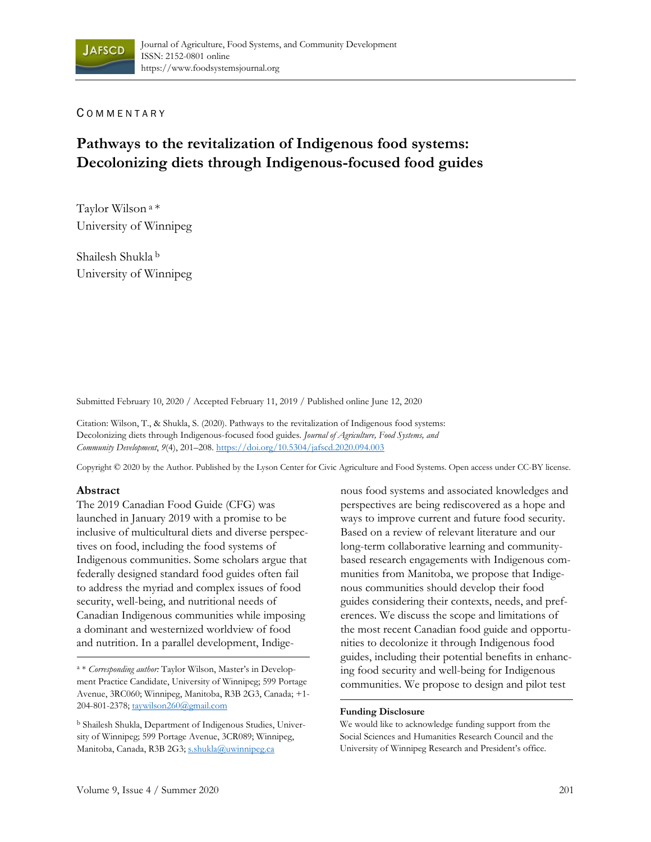#### C OMMENTARY

# **Pathways to the revitalization of Indigenous food systems: Decolonizing diets through Indigenous-focused food guides**

Taylor Wilson a \* University of Winnipeg

Shailesh Shukla b University of Winnipeg

Submitted February 10, 2020 / Accepted February 11, 2019 / Published online June 12, 2020

Citation: Wilson, T., & Shukla, S. (2020). Pathways to the revitalization of Indigenous food systems: Decolonizing diets through Indigenous-focused food guides. *Journal of Agriculture, Food Systems, and Community Development*, *9*(4), 201–208. https://doi.org/10.5304/jafscd.2020.094.003

Copyright © 2020 by the Author. Published by the Lyson Center for Civic Agriculture and Food Systems. Open access under CC-BY license.

#### **Abstract**

The 2019 Canadian Food Guide (CFG) was launched in January 2019 with a promise to be inclusive of multicultural diets and diverse perspectives on food, including the food systems of Indigenous communities. Some scholars argue that federally designed standard food guides often fail to address the myriad and complex issues of food security, well-being, and nutritional needs of Canadian Indigenous communities while imposing a dominant and westernized worldview of food and nutrition. In a parallel development, Indigenous food systems and associated knowledges and perspectives are being rediscovered as a hope and ways to improve current and future food security. Based on a review of relevant literature and our long-term collaborative learning and communitybased research engagements with Indigenous communities from Manitoba, we propose that Indigenous communities should develop their food guides considering their contexts, needs, and preferences. We discuss the scope and limitations of the most recent Canadian food guide and opportunities to decolonize it through Indigenous food guides, including their potential benefits in enhancing food security and well-being for Indigenous communities. We propose to design and pilot test

#### **Funding Disclosure**

We would like to acknowledge funding support from the Social Sciences and Humanities Research Council and the University of Winnipeg Research and President's office.

a \* *Corresponding author:* Taylor Wilson, Master's in Development Practice Candidate, University of Winnipeg; 599 Portage Avenue, 3RC060; Winnipeg, Manitoba, R3B 2G3, Canada; +1- 204-801-2378; taywilson260@gmail.com

b Shailesh Shukla, Department of Indigenous Studies, University of Winnipeg; 599 Portage Avenue, 3CR089; Winnipeg, Manitoba, Canada, R3B 2G3; s.shukla@uwinnipeg.ca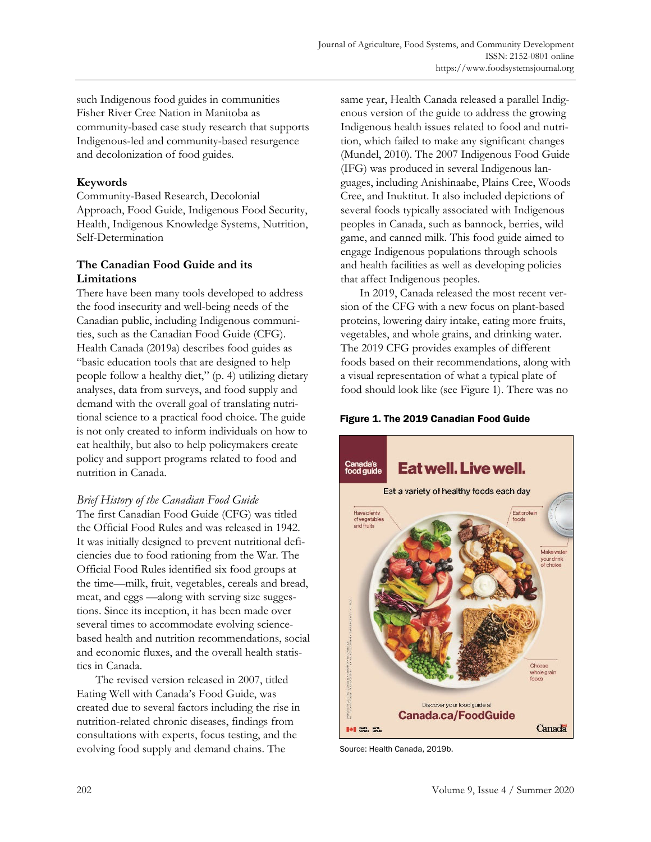such Indigenous food guides in communities Fisher River Cree Nation in Manitoba as community-based case study research that supports Indigenous-led and community-based resurgence and decolonization of food guides.

## **Keywords**

Community-Based Research, Decolonial Approach, Food Guide, Indigenous Food Security, Health, Indigenous Knowledge Systems, Nutrition, Self-Determination

## **The Canadian Food Guide and its Limitations**

There have been many tools developed to address the food insecurity and well-being needs of the Canadian public, including Indigenous communities, such as the Canadian Food Guide (CFG). Health Canada (2019a) describes food guides as "basic education tools that are designed to help people follow a healthy diet," (p. 4) utilizing dietary analyses, data from surveys, and food supply and demand with the overall goal of translating nutritional science to a practical food choice. The guide is not only created to inform individuals on how to eat healthily, but also to help policymakers create policy and support programs related to food and nutrition in Canada.

## *Brief History of the Canadian Food Guide*

The first Canadian Food Guide (CFG) was titled the Official Food Rules and was released in 1942. It was initially designed to prevent nutritional deficiencies due to food rationing from the War. The Official Food Rules identified six food groups at the time—milk, fruit, vegetables, cereals and bread, meat, and eggs —along with serving size suggestions. Since its inception, it has been made over several times to accommodate evolving sciencebased health and nutrition recommendations, social and economic fluxes, and the overall health statistics in Canada.

 The revised version released in 2007, titled Eating Well with Canada's Food Guide, was created due to several factors including the rise in nutrition-related chronic diseases, findings from consultations with experts, focus testing, and the evolving food supply and demand chains. The

same year, Health Canada released a parallel Indigenous version of the guide to address the growing Indigenous health issues related to food and nutrition, which failed to make any significant changes (Mundel, 2010). The 2007 Indigenous Food Guide (IFG) was produced in several Indigenous languages, including Anishinaabe, Plains Cree, Woods Cree, and Inuktitut. It also included depictions of several foods typically associated with Indigenous peoples in Canada, such as bannock, berries, wild game, and canned milk. This food guide aimed to engage Indigenous populations through schools and health facilities as well as developing policies that affect Indigenous peoples.

 In 2019, Canada released the most recent version of the CFG with a new focus on plant-based proteins, lowering dairy intake, eating more fruits, vegetables, and whole grains, and drinking water. The 2019 CFG provides examples of different foods based on their recommendations, along with a visual representation of what a typical plate of food should look like (see Figure 1). There was no

Figure 1. The 2019 Canadian Food Guide



Source: Health Canada, 2019b.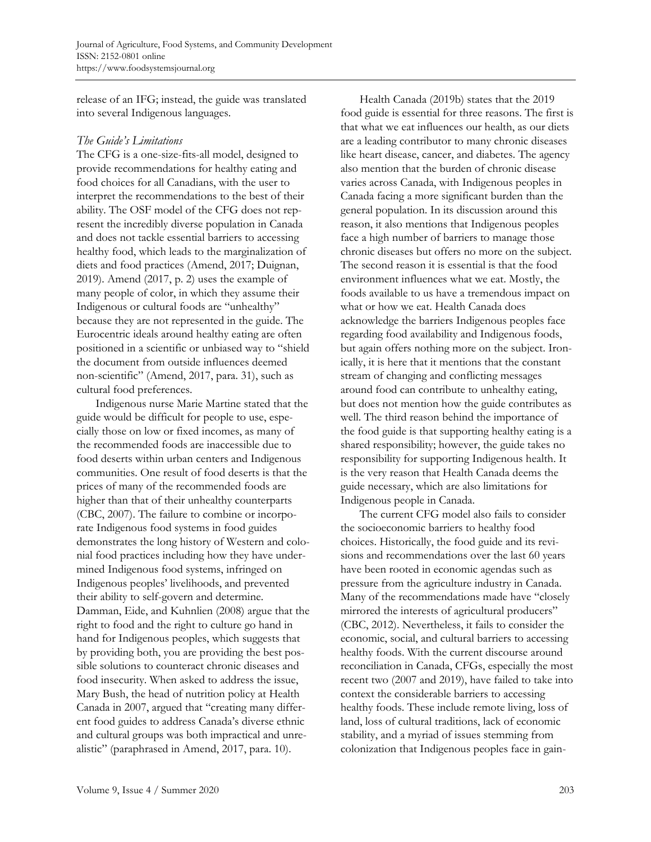release of an IFG; instead, the guide was translated into several Indigenous languages.

#### *The Guide's Limitations*

The CFG is a one-size-fits-all model, designed to provide recommendations for healthy eating and food choices for all Canadians, with the user to interpret the recommendations to the best of their ability. The OSF model of the CFG does not represent the incredibly diverse population in Canada and does not tackle essential barriers to accessing healthy food, which leads to the marginalization of diets and food practices (Amend, 2017; Duignan, 2019). Amend (2017, p. 2) uses the example of many people of color, in which they assume their Indigenous or cultural foods are "unhealthy" because they are not represented in the guide. The Eurocentric ideals around healthy eating are often positioned in a scientific or unbiased way to "shield the document from outside influences deemed non-scientific" (Amend, 2017, para. 31), such as cultural food preferences.

 Indigenous nurse Marie Martine stated that the guide would be difficult for people to use, especially those on low or fixed incomes, as many of the recommended foods are inaccessible due to food deserts within urban centers and Indigenous communities. One result of food deserts is that the prices of many of the recommended foods are higher than that of their unhealthy counterparts (CBC, 2007). The failure to combine or incorporate Indigenous food systems in food guides demonstrates the long history of Western and colonial food practices including how they have undermined Indigenous food systems, infringed on Indigenous peoples' livelihoods, and prevented their ability to self-govern and determine. Damman, Eide, and Kuhnlien (2008) argue that the right to food and the right to culture go hand in hand for Indigenous peoples, which suggests that by providing both, you are providing the best possible solutions to counteract chronic diseases and food insecurity. When asked to address the issue, Mary Bush, the head of nutrition policy at Health Canada in 2007, argued that "creating many different food guides to address Canada's diverse ethnic and cultural groups was both impractical and unrealistic" (paraphrased in Amend, 2017, para. 10).

 Health Canada (2019b) states that the 2019 food guide is essential for three reasons. The first is that what we eat influences our health, as our diets are a leading contributor to many chronic diseases like heart disease, cancer, and diabetes. The agency also mention that the burden of chronic disease varies across Canada, with Indigenous peoples in Canada facing a more significant burden than the general population. In its discussion around this reason, it also mentions that Indigenous peoples face a high number of barriers to manage those chronic diseases but offers no more on the subject. The second reason it is essential is that the food environment influences what we eat. Mostly, the foods available to us have a tremendous impact on what or how we eat. Health Canada does acknowledge the barriers Indigenous peoples face regarding food availability and Indigenous foods, but again offers nothing more on the subject. Ironically, it is here that it mentions that the constant stream of changing and conflicting messages around food can contribute to unhealthy eating, but does not mention how the guide contributes as well. The third reason behind the importance of the food guide is that supporting healthy eating is a shared responsibility; however, the guide takes no responsibility for supporting Indigenous health. It is the very reason that Health Canada deems the guide necessary, which are also limitations for Indigenous people in Canada.

 The current CFG model also fails to consider the socioeconomic barriers to healthy food choices. Historically, the food guide and its revisions and recommendations over the last 60 years have been rooted in economic agendas such as pressure from the agriculture industry in Canada. Many of the recommendations made have "closely mirrored the interests of agricultural producers" (CBC, 2012). Nevertheless, it fails to consider the economic, social, and cultural barriers to accessing healthy foods. With the current discourse around reconciliation in Canada, CFGs, especially the most recent two (2007 and 2019), have failed to take into context the considerable barriers to accessing healthy foods. These include remote living, loss of land, loss of cultural traditions, lack of economic stability, and a myriad of issues stemming from colonization that Indigenous peoples face in gain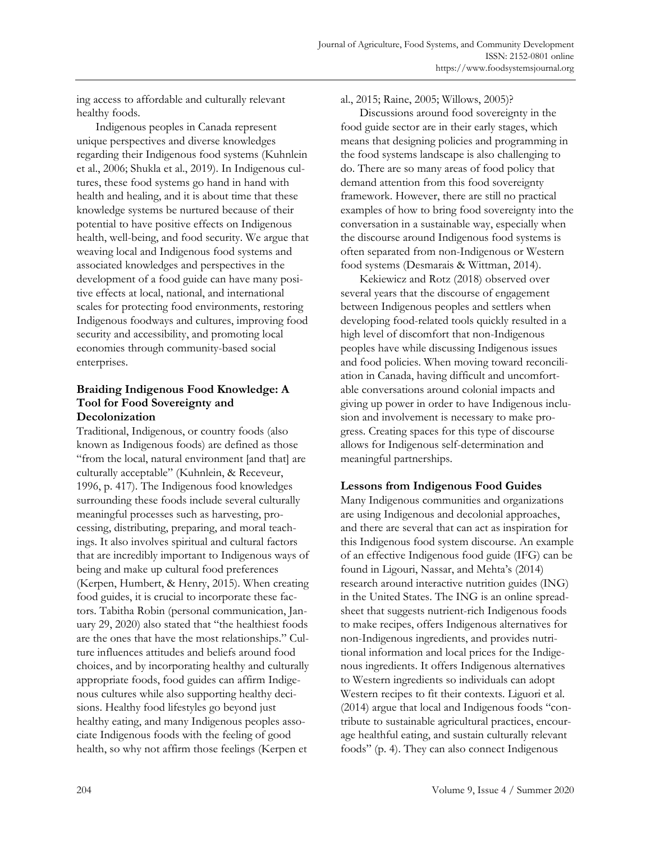ing access to affordable and culturally relevant healthy foods.

 Indigenous peoples in Canada represent unique perspectives and diverse knowledges regarding their Indigenous food systems (Kuhnlein et al., 2006; Shukla et al., 2019). In Indigenous cultures, these food systems go hand in hand with health and healing, and it is about time that these knowledge systems be nurtured because of their potential to have positive effects on Indigenous health, well-being, and food security. We argue that weaving local and Indigenous food systems and associated knowledges and perspectives in the development of a food guide can have many positive effects at local, national, and international scales for protecting food environments, restoring Indigenous foodways and cultures, improving food security and accessibility, and promoting local economies through community-based social enterprises.

### **Braiding Indigenous Food Knowledge: A Tool for Food Sovereignty and Decolonization**

Traditional, Indigenous, or country foods (also known as Indigenous foods) are defined as those "from the local, natural environment [and that] are culturally acceptable" (Kuhnlein, & Receveur, 1996, p. 417). The Indigenous food knowledges surrounding these foods include several culturally meaningful processes such as harvesting, processing, distributing, preparing, and moral teachings. It also involves spiritual and cultural factors that are incredibly important to Indigenous ways of being and make up cultural food preferences (Kerpen, Humbert, & Henry, 2015). When creating food guides, it is crucial to incorporate these factors. Tabitha Robin (personal communication, January 29, 2020) also stated that "the healthiest foods are the ones that have the most relationships." Culture influences attitudes and beliefs around food choices, and by incorporating healthy and culturally appropriate foods, food guides can affirm Indigenous cultures while also supporting healthy decisions. Healthy food lifestyles go beyond just healthy eating, and many Indigenous peoples associate Indigenous foods with the feeling of good health, so why not affirm those feelings (Kerpen et

al., 2015; Raine, 2005; Willows, 2005)?

 Discussions around food sovereignty in the food guide sector are in their early stages, which means that designing policies and programming in the food systems landscape is also challenging to do. There are so many areas of food policy that demand attention from this food sovereignty framework. However, there are still no practical examples of how to bring food sovereignty into the conversation in a sustainable way, especially when the discourse around Indigenous food systems is often separated from non-Indigenous or Western food systems (Desmarais & Wittman, 2014).

 Kekiewicz and Rotz (2018) observed over several years that the discourse of engagement between Indigenous peoples and settlers when developing food-related tools quickly resulted in a high level of discomfort that non-Indigenous peoples have while discussing Indigenous issues and food policies. When moving toward reconciliation in Canada, having difficult and uncomfortable conversations around colonial impacts and giving up power in order to have Indigenous inclusion and involvement is necessary to make progress. Creating spaces for this type of discourse allows for Indigenous self-determination and meaningful partnerships.

## **Lessons from Indigenous Food Guides**

Many Indigenous communities and organizations are using Indigenous and decolonial approaches, and there are several that can act as inspiration for this Indigenous food system discourse. An example of an effective Indigenous food guide (IFG) can be found in Ligouri, Nassar, and Mehta's (2014) research around interactive nutrition guides (ING) in the United States. The ING is an online spreadsheet that suggests nutrient-rich Indigenous foods to make recipes, offers Indigenous alternatives for non-Indigenous ingredients, and provides nutritional information and local prices for the Indigenous ingredients. It offers Indigenous alternatives to Western ingredients so individuals can adopt Western recipes to fit their contexts. Liguori et al. (2014) argue that local and Indigenous foods "contribute to sustainable agricultural practices, encourage healthful eating, and sustain culturally relevant foods" (p. 4). They can also connect Indigenous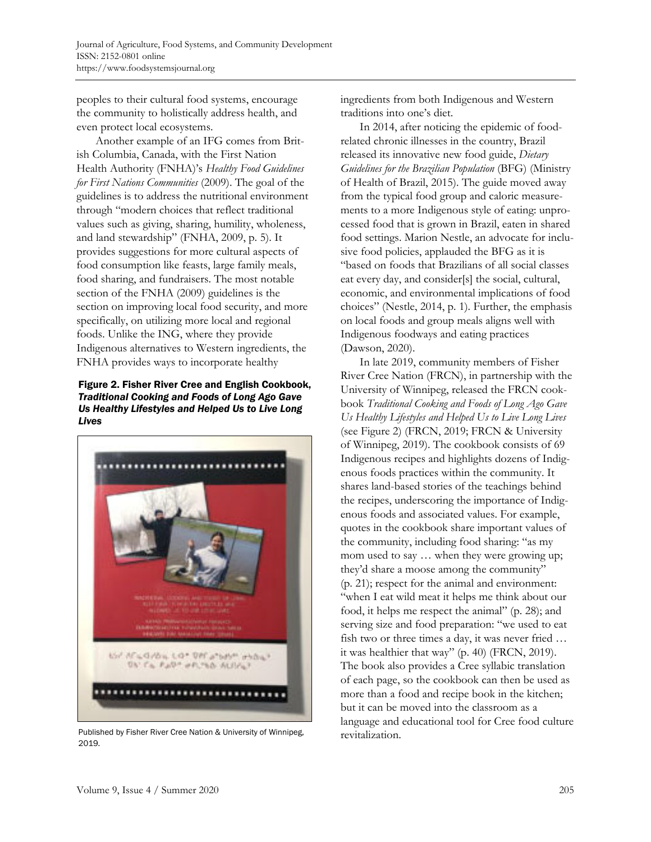peoples to their cultural food systems, encourage the community to holistically address health, and even protect local ecosystems.

 Another example of an IFG comes from British Columbia, Canada, with the First Nation Health Authority (FNHA)'s *Healthy Food Guidelines for First Nations Communities* (2009). The goal of the guidelines is to address the nutritional environment through "modern choices that reflect traditional values such as giving, sharing, humility, wholeness, and land stewardship" (FNHA, 2009, p. 5). It provides suggestions for more cultural aspects of food consumption like feasts, large family meals, food sharing, and fundraisers. The most notable section of the FNHA (2009) guidelines is the section on improving local food security, and more specifically, on utilizing more local and regional foods. Unlike the ING, where they provide Indigenous alternatives to Western ingredients, the FNHA provides ways to incorporate healthy

#### Figure 2. Fisher River Cree and English Cookbook, *Traditional Cooking and Foods of Long Ago Gave Us Healthy Lifestyles and Helped Us to Live Long Lives*



Published by Fisher River Cree Nation & University of Winnipeg, 2019*.* 

ingredients from both Indigenous and Western traditions into one's diet.

 In 2014, after noticing the epidemic of foodrelated chronic illnesses in the country, Brazil released its innovative new food guide, *Dietary Guidelines for the Brazilian Population* (BFG) (Ministry of Health of Brazil, 2015). The guide moved away from the typical food group and caloric measurements to a more Indigenous style of eating: unprocessed food that is grown in Brazil, eaten in shared food settings. Marion Nestle, an advocate for inclusive food policies, applauded the BFG as it is "based on foods that Brazilians of all social classes eat every day, and consider[s] the social, cultural, economic, and environmental implications of food choices" (Nestle, 2014, p. 1). Further, the emphasis on local foods and group meals aligns well with Indigenous foodways and eating practices (Dawson, 2020).

 In late 2019, community members of Fisher River Cree Nation (FRCN), in partnership with the University of Winnipeg, released the FRCN cookbook *Traditional Cooking and Foods of Long Ago Gave Us Healthy Lifestyles and Helped Us to Live Long Lives* (see Figure 2) (FRCN, 2019; FRCN & University of Winnipeg, 2019). The cookbook consists of 69 Indigenous recipes and highlights dozens of Indigenous foods practices within the community. It shares land-based stories of the teachings behind the recipes, underscoring the importance of Indigenous foods and associated values. For example, quotes in the cookbook share important values of the community, including food sharing: "as my mom used to say … when they were growing up; they'd share a moose among the community" (p. 21); respect for the animal and environment: "when I eat wild meat it helps me think about our food, it helps me respect the animal" (p. 28); and serving size and food preparation: "we used to eat fish two or three times a day, it was never fried … it was healthier that way" (p. 40) (FRCN, 2019). The book also provides a Cree syllabic translation of each page, so the cookbook can then be used as more than a food and recipe book in the kitchen; but it can be moved into the classroom as a language and educational tool for Cree food culture revitalization.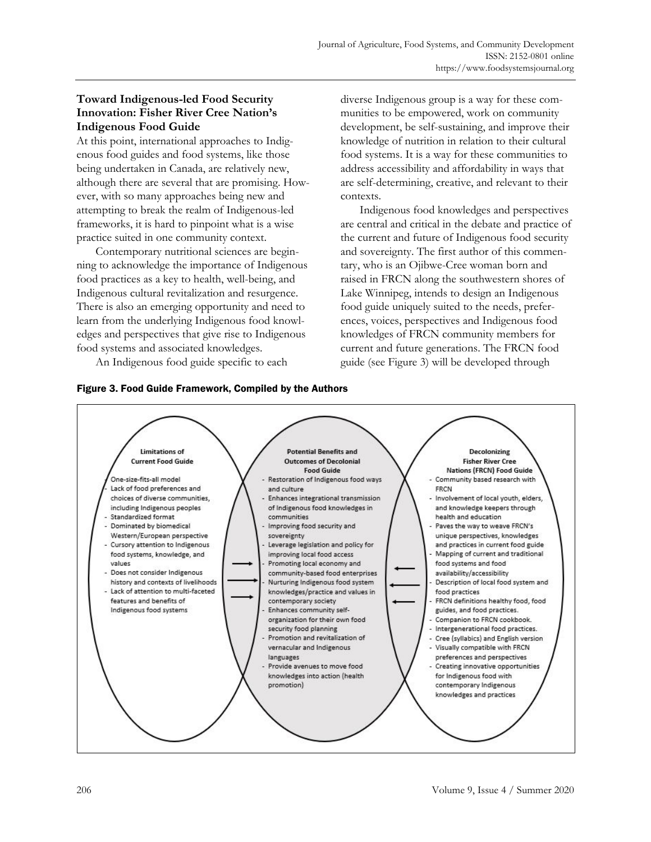## **Toward Indigenous-led Food Security Innovation: Fisher River Cree Nation's Indigenous Food Guide**

At this point, international approaches to Indigenous food guides and food systems, like those being undertaken in Canada, are relatively new, although there are several that are promising. However, with so many approaches being new and attempting to break the realm of Indigenous-led frameworks, it is hard to pinpoint what is a wise practice suited in one community context.

 Contemporary nutritional sciences are beginning to acknowledge the importance of Indigenous food practices as a key to health, well-being, and Indigenous cultural revitalization and resurgence. There is also an emerging opportunity and need to learn from the underlying Indigenous food knowledges and perspectives that give rise to Indigenous food systems and associated knowledges.

An Indigenous food guide specific to each





 Indigenous food knowledges and perspectives are central and critical in the debate and practice of the current and future of Indigenous food security and sovereignty. The first author of this commentary, who is an Ojibwe-Cree woman born and raised in FRCN along the southwestern shores of Lake Winnipeg, intends to design an Indigenous food guide uniquely suited to the needs, preferences, voices, perspectives and Indigenous food knowledges of FRCN community members for current and future generations. The FRCN food guide (see Figure 3) will be developed through

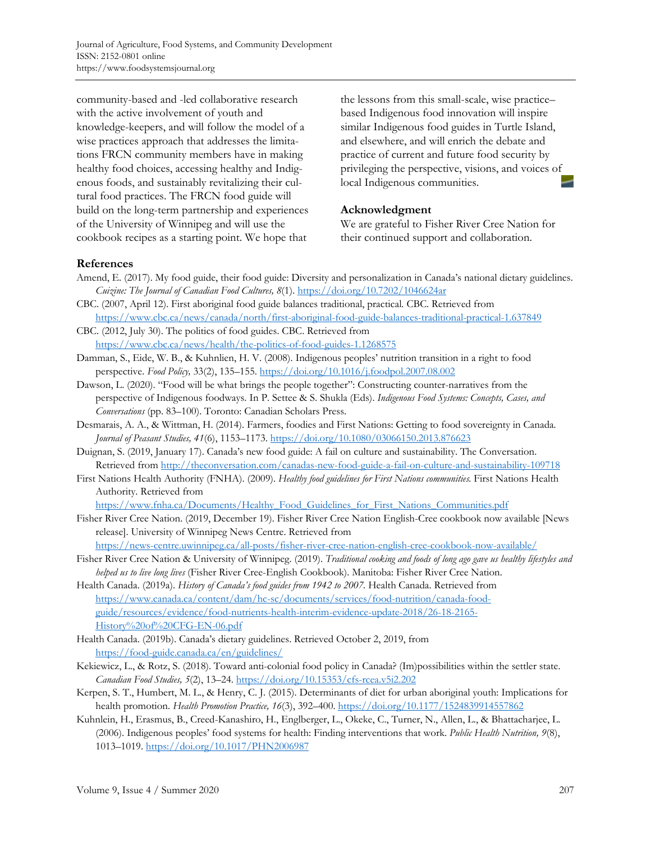community-based and -led collaborative research with the active involvement of youth and knowledge-keepers, and will follow the model of a wise practices approach that addresses the limitations FRCN community members have in making healthy food choices, accessing healthy and Indigenous foods, and sustainably revitalizing their cultural food practices. The FRCN food guide will build on the long-term partnership and experiences of the University of Winnipeg and will use the cookbook recipes as a starting point. We hope that

the lessons from this small-scale, wise practice– based Indigenous food innovation will inspire similar Indigenous food guides in Turtle Island, and elsewhere, and will enrich the debate and practice of current and future food security by privileging the perspective, visions, and voices of local Indigenous communities.

#### **Acknowledgment**

We are grateful to Fisher River Cree Nation for their continued support and collaboration.

#### **References**

- Amend, E. (2017). My food guide, their food guide: Diversity and personalization in Canada's national dietary guidelines. *Cuizine: The Journal of Canadian Food Cultures, 8*(1). https://doi.org/10.7202/1046624ar
- CBC. (2007, April 12). First aboriginal food guide balances traditional, practical*.* CBC. Retrieved from https://www.cbc.ca/news/canada/north/first-aboriginal-food-guide-balances-traditional-practical-1.637849
- CBC. (2012, July 30). The politics of food guides. CBC. Retrieved from https://www.cbc.ca/news/health/the-politics-of-food-guides-1.1268575
- Damman, S., Eide, W. B., & Kuhnlien, H. V. (2008). Indigenous peoples' nutrition transition in a right to food perspective. *Food Policy,* 33(2), 135–155. https://doi.org/10.1016/j.foodpol.2007.08.002
- Dawson, L. (2020). "Food will be what brings the people together": Constructing counter-narratives from the perspective of Indigenous foodways. In P. Settee & S. Shukla (Eds). *Indigenous Food Systems: Concepts, Cases, and Conversations* (pp. 83–100). Toronto: Canadian Scholars Press.
- Desmarais, A. A., & Wittman, H. (2014). Farmers, foodies and First Nations: Getting to food sovereignty in Canada*. Journal of Peasant Studies, 41*(6), 1153–1173. https://doi.org/10.1080/03066150.2013.876623
- Duignan, S. (2019, January 17). Canada's new food guide: A fail on culture and sustainability. The Conversation. Retrieved from http://theconversation.com/canadas-new-food-guide-a-fail-on-culture-and-sustainability-109718
- First Nations Health Authority (FNHA). (2009). *Healthy food guidelines for First Nations communities.* First Nations Health Authority. Retrieved from

https://www.fnha.ca/Documents/Healthy\_Food\_Guidelines\_for\_First\_Nations\_Communities.pdf

- Fisher River Cree Nation. (2019, December 19). Fisher River Cree Nation English-Cree cookbook now available [News release]. University of Winnipeg News Centre. Retrieved from
- https://news-centre.uwinnipeg.ca/all-posts/fisher-river-cree-nation-english-cree-cookbook-now-available/ Fisher River Cree Nation & University of Winnipeg. (2019). *Traditional cooking and foods of long ago gave us healthy lifestyles and*
- *helped us to live long lives* (Fisher River Cree-English Cookbook). Manitoba: Fisher River Cree Nation. Health Canada. (2019a). *History of Canada's food guides from 1942 to 2007*. Health Canada. Retrieved from [https://www.canada.ca/content/dam/hc-sc/documents/services/food-nutrition/canada-food](https://www.canada.ca/content/dam/hc-sc/documents/services/food-nutrition/canada-food-guide/resources/evidence/food-nutrients-health-interim-evidence-update-2018/26-18-2165-History%20of%20CFG-EN-06.pdf)guide/resources/evidence/food-nutrients-health-interim-evidence-update-2018/26-18-2165- History%20of%20CFG-EN-06.pdf
- Health Canada. (2019b). Canada's dietary guidelines. Retrieved October 2, 2019, from https://food-guide.canada.ca/en/guidelines/
- Kekiewicz, L., & Rotz, S. (2018). Toward anti-colonial food policy in Canada? (Im)possibilities within the settler state. *Canadian Food Studies, 5*(2), 13–24. https://doi.org/10.15353/cfs-rcea.v5i2.202
- Kerpen, S. T., Humbert, M. L., & Henry, C. J. (2015). Determinants of diet for urban aboriginal youth: Implications for health promotion. *Health Promotion Practice, 16*(3), 392–400. https://doi.org/10.1177/1524839914557862
- Kuhnlein, H., Erasmus, B., Creed-Kanashiro, H., Englberger, L., Okeke, C., Turner, N., Allen, L., & Bhattacharjee, L. (2006). Indigenous peoples' food systems for health: Finding interventions that work. *Public Health Nutrition, 9*(8), 1013–1019. https://doi.org/10.1017/PHN2006987